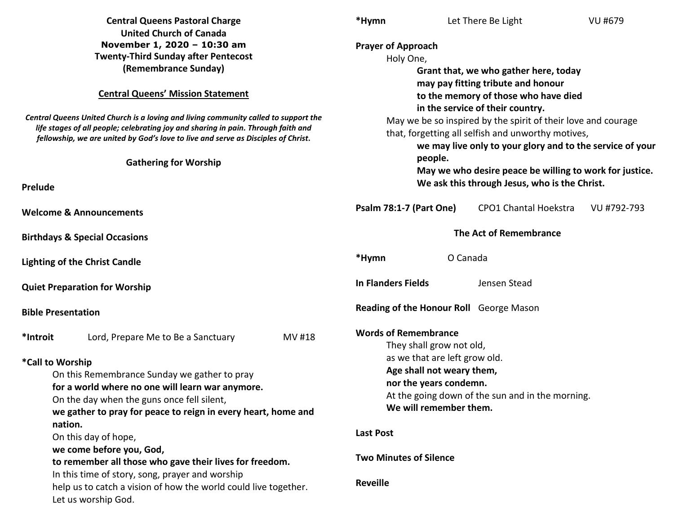| <b>Central Queens Pastoral Charge</b>                                                                                                                                                                                                                         | *Hymn<br>Let There Be Light<br>VU #679                                                                                                                                           |  |  |  |
|---------------------------------------------------------------------------------------------------------------------------------------------------------------------------------------------------------------------------------------------------------------|----------------------------------------------------------------------------------------------------------------------------------------------------------------------------------|--|--|--|
| <b>United Church of Canada</b><br>November 1, 2020 - 10:30 am<br><b>Twenty-Third Sunday after Pentecost</b><br>(Remembrance Sunday)                                                                                                                           | <b>Prayer of Approach</b><br>Holy One,<br>Grant that, we who gather here, today                                                                                                  |  |  |  |
| <b>Central Queens' Mission Statement</b>                                                                                                                                                                                                                      | may pay fitting tribute and honour<br>to the memory of those who have died<br>in the service of their country.                                                                   |  |  |  |
| Central Queens United Church is a loving and living community called to support the<br>life stages of all people; celebrating joy and sharing in pain. Through faith and<br>fellowship, we are united by God's love to live and serve as Disciples of Christ. | May we be so inspired by the spirit of their love and courage<br>that, forgetting all selfish and unworthy motives,<br>we may live only to your glory and to the service of your |  |  |  |
| <b>Gathering for Worship</b>                                                                                                                                                                                                                                  | people.<br>May we who desire peace be willing to work for justice.                                                                                                               |  |  |  |
| Prelude                                                                                                                                                                                                                                                       | We ask this through Jesus, who is the Christ.                                                                                                                                    |  |  |  |
| <b>Welcome &amp; Announcements</b>                                                                                                                                                                                                                            | <b>Psalm 78:1-7 (Part One)</b><br><b>CPO1 Chantal Hoekstra</b><br>VU #792-793                                                                                                    |  |  |  |
| <b>Birthdays &amp; Special Occasions</b>                                                                                                                                                                                                                      | The Act of Remembrance                                                                                                                                                           |  |  |  |
| <b>Lighting of the Christ Candle</b>                                                                                                                                                                                                                          | O Canada<br>*Hymn                                                                                                                                                                |  |  |  |
| <b>Quiet Preparation for Worship</b>                                                                                                                                                                                                                          | <b>In Flanders Fields</b><br>Jensen Stead                                                                                                                                        |  |  |  |
| <b>Bible Presentation</b>                                                                                                                                                                                                                                     | Reading of the Honour Roll George Mason                                                                                                                                          |  |  |  |
| *Introit<br>MV #18<br>Lord, Prepare Me to Be a Sanctuary                                                                                                                                                                                                      | <b>Words of Remembrance</b><br>They shall grow not old,                                                                                                                          |  |  |  |
| *Call to Worship                                                                                                                                                                                                                                              | as we that are left grow old.                                                                                                                                                    |  |  |  |
| On this Remembrance Sunday we gather to pray                                                                                                                                                                                                                  | Age shall not weary them,<br>nor the years condemn.                                                                                                                              |  |  |  |
| for a world where no one will learn war anymore.<br>On the day when the guns once fell silent,                                                                                                                                                                | At the going down of the sun and in the morning.                                                                                                                                 |  |  |  |
| we gather to pray for peace to reign in every heart, home and<br>nation.                                                                                                                                                                                      | We will remember them.                                                                                                                                                           |  |  |  |
| On this day of hope,                                                                                                                                                                                                                                          | <b>Last Post</b>                                                                                                                                                                 |  |  |  |
| we come before you, God,<br>to remember all those who gave their lives for freedom.                                                                                                                                                                           | <b>Two Minutes of Silence</b>                                                                                                                                                    |  |  |  |
| In this time of story, song, prayer and worship<br>help us to catch a vision of how the world could live together.<br>Let us worship God.                                                                                                                     | <b>Reveille</b>                                                                                                                                                                  |  |  |  |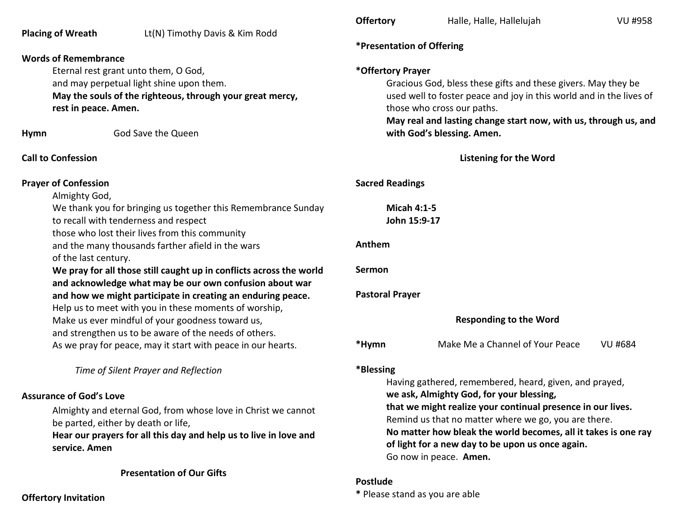|                                                                                                        |                                                                     | <b>Offertory</b>                        | Halle, Halle, Hallelujah                                            | <b>VU #958</b> |  |
|--------------------------------------------------------------------------------------------------------|---------------------------------------------------------------------|-----------------------------------------|---------------------------------------------------------------------|----------------|--|
| <b>Placing of Wreath</b>                                                                               | Lt(N) Timothy Davis & Kim Rodd                                      |                                         |                                                                     |                |  |
|                                                                                                        |                                                                     | <i><b>*Presentation of Offering</b></i> |                                                                     |                |  |
| <b>Words of Remembrance</b>                                                                            |                                                                     |                                         |                                                                     |                |  |
|                                                                                                        | Eternal rest grant unto them, O God,                                |                                         | *Offertory Prayer                                                   |                |  |
|                                                                                                        | and may perpetual light shine upon them.                            |                                         | Gracious God, bless these gifts and these givers. May they be       |                |  |
|                                                                                                        | May the souls of the righteous, through your great mercy,           |                                         | used well to foster peace and joy in this world and in the lives of |                |  |
|                                                                                                        | rest in peace. Amen.                                                |                                         | those who cross our paths.                                          |                |  |
|                                                                                                        |                                                                     |                                         | May real and lasting change start now, with us, through us, and     |                |  |
| <b>Hymn</b>                                                                                            | God Save the Queen                                                  |                                         | with God's blessing. Amen.                                          |                |  |
| <b>Call to Confession</b>                                                                              |                                                                     |                                         | <b>Listening for the Word</b>                                       |                |  |
| <b>Prayer of Confession</b>                                                                            |                                                                     | <b>Sacred Readings</b>                  |                                                                     |                |  |
| Almighty God,                                                                                          |                                                                     |                                         |                                                                     |                |  |
| We thank you for bringing us together this Remembrance Sunday<br>to recall with tenderness and respect |                                                                     |                                         | <b>Micah 4:1-5</b><br>John 15:9-17                                  |                |  |
|                                                                                                        | those who lost their lives from this community                      |                                         |                                                                     |                |  |
|                                                                                                        | and the many thousands farther afield in the wars                   | Anthem                                  |                                                                     |                |  |
| of the last century.                                                                                   |                                                                     |                                         |                                                                     |                |  |
|                                                                                                        | We pray for all those still caught up in conflicts across the world | Sermon                                  |                                                                     |                |  |
|                                                                                                        | and acknowledge what may be our own confusion about war             |                                         |                                                                     |                |  |
|                                                                                                        | and how we might participate in creating an enduring peace.         | <b>Pastoral Prayer</b>                  |                                                                     |                |  |
|                                                                                                        | Help us to meet with you in these moments of worship,               |                                         |                                                                     |                |  |
|                                                                                                        | Make us ever mindful of your goodness toward us,                    |                                         | <b>Responding to the Word</b>                                       |                |  |
|                                                                                                        | and strengthen us to be aware of the needs of others.               |                                         |                                                                     |                |  |
|                                                                                                        | As we pray for peace, may it start with peace in our hearts.        | *Hymn                                   | Make Me a Channel of Your Peace                                     | <b>VU #684</b> |  |
|                                                                                                        | Time of Silent Prayer and Reflection                                | *Blessing                               |                                                                     |                |  |
|                                                                                                        |                                                                     |                                         | Having gathered, remembered, heard, given, and prayed,              |                |  |
| <b>Assurance of God's Love</b>                                                                         |                                                                     |                                         | we ask, Almighty God, for your blessing,                            |                |  |
|                                                                                                        | Almighty and eternal God, from whose love in Christ we cannot       |                                         | that we might realize your continual presence in our lives.         |                |  |
|                                                                                                        | be parted, either by death or life,                                 |                                         | Remind us that no matter where we go, you are there.                |                |  |
|                                                                                                        | Hear our prayers for all this day and help us to live in love and   |                                         | No matter how bleak the world becomes, all it takes is one ray      |                |  |
| service. Amen                                                                                          |                                                                     |                                         | of light for a new day to be upon us once again.                    |                |  |
|                                                                                                        |                                                                     |                                         | Go now in peace. Amen.                                              |                |  |
|                                                                                                        | <b>Presentation of Our Gifts</b>                                    |                                         |                                                                     |                |  |
|                                                                                                        |                                                                     | Postlude                                |                                                                     |                |  |

**Offertory Invitation** 

## **\*** Please stand as you are able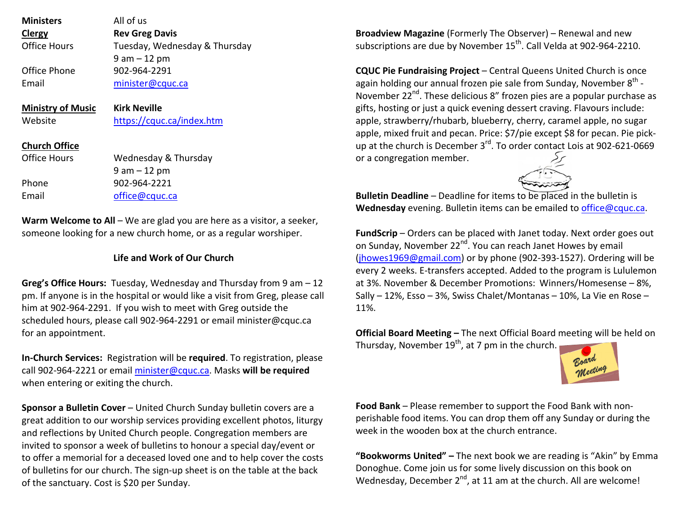| <b>Ministers</b>         | All of us                     |
|--------------------------|-------------------------------|
| Clergy                   | <b>Rev Greg Davis</b>         |
| Office Hours             | Tuesday, Wednesday & Thursday |
|                          | $9$ am $-12$ pm               |
| Office Phone             | 902-964-2291                  |
| Email                    | minister@cquc.ca              |
|                          |                               |
| <b>Ministry of Music</b> | <b>Kirk Neville</b>           |
|                          |                               |
| Website                  | https://cquc.ca/index.htm     |
|                          |                               |
| <b>Church Office</b>     |                               |
| <b>Office Hours</b>      | Wednesday & Thursday          |
|                          | $9$ am $-12$ pm               |
| Phone                    | 902-964-2221                  |

**Warm Welcome to All** – We are glad you are here as a visitor, a seeker,someone looking for a new church home, or as a regular worshiper.

## **Life and Work of Our Church**

**Greg's Office Hours:** Tuesday, Wednesday and Thursday from 9 am – 12 pm. If anyone is in the hospital or would like a visit from Greg, please call him at 902-964-2291. If you wish to meet with Greg outside the scheduled hours, please call 902-964-2291 or email minister@cquc.ca for an appointment.

**In-Church Services:** Registration will be **required**. To registration, please call 902-964-2221 or email minister@cquc.ca. Masks **will be required**when entering or exiting the church.

**Sponsor a Bulletin Cover** – United Church Sunday bulletin covers are a great addition to our worship services providing excellent photos, liturgy and reflections by United Church people. Congregation members are invited to sponsor a week of bulletins to honour a special day/event or to offer a memorial for a deceased loved one and to help cover the costs of bulletins for our church. The sign-up sheet is on the table at the back of the sanctuary. Cost is \$20 per Sunday.

**Broadview Magazine** (Formerly The Observer) – Renewal and new subscriptions are due by November 15<sup>th</sup>. Call Velda at 902-964-2210.

**CQUC Pie Fundraising Project** – Central Queens United Church is once again holding our annual frozen pie sale from Sunday, November  $8<sup>th</sup>$  -November 22<sup>nd</sup>. These delicious 8" frozen pies are a popular purchase as gifts, hosting or just a quick evening dessert craving. Flavours include: apple, strawberry/rhubarb, blueberry, cherry, caramel apple, no sugar apple, mixed fruit and pecan. Price: \$7/pie except \$8 for pecan. Pie pickup at the church is December 3<sup>rd</sup>. To order contact Lois at 902-621-0669 or a congregation member.



**Bulletin Deadline** – Deadline for items to be placed in the bulletin is **Wednesday** evening. Bulletin items can be emailed to office@cquc.ca.

**FundScrip** – Orders can be placed with Janet today. Next order goes out on Sunday, November 22<sup>nd</sup>. You can reach Janet Howes by email (jhowes1969@gmail.com) or by phone (902-393-1527). Ordering will be every 2 weeks. E-transfers accepted. Added to the program is Lululemon at 3%. November & December Promotions: Winners/Homesense – 8%, Sally – 12%, Esso – 3%, Swiss Chalet/Montanas – 10%, La Vie en Rose – 11%.

**Official Board Meeting –** The next Official Board meeting will be held on Thursday, November  $19<sup>th</sup>$ , at 7 pm in the church.



**Food Bank** – Please remember to support the Food Bank with nonperishable food items. You can drop them off any Sunday or during the week in the wooden box at the church entrance.

**"Bookworms United" –** The next book we are reading is "Akin" by Emma Donoghue. Come join us for some lively discussion on this book on Wednesday, December  $2^{nd}$ , at 11 am at the church. All are welcome!